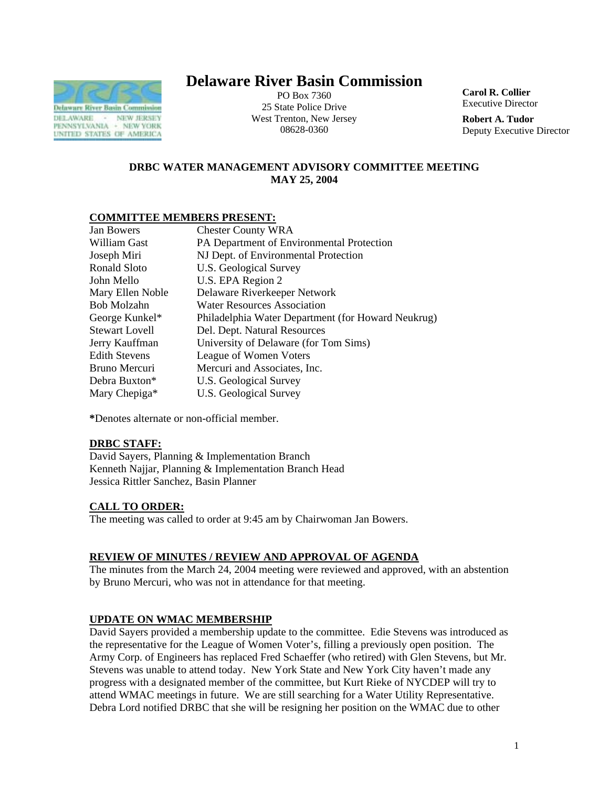

# **Delaware River Basin Commission**

PO Box 7360 25 State Police Drive West Trenton, New Jersey 08628-0360

**Carol R. Collier** Executive Director

**Robert A. Tudor**  Deputy Executive Director

# **DRBC WATER MANAGEMENT ADVISORY COMMITTEE MEETING MAY 25, 2004**

# **COMMITTEE MEMBERS PRESENT:**

| Jan Bowers            | <b>Chester County WRA</b>                          |
|-----------------------|----------------------------------------------------|
| William Gast          | PA Department of Environmental Protection          |
| Joseph Miri           | NJ Dept. of Environmental Protection               |
| <b>Ronald Sloto</b>   | U.S. Geological Survey                             |
| John Mello            | U.S. EPA Region 2                                  |
| Mary Ellen Noble      | Delaware Riverkeeper Network                       |
| Bob Molzahn           | <b>Water Resources Association</b>                 |
| George Kunkel*        | Philadelphia Water Department (for Howard Neukrug) |
| <b>Stewart Lovell</b> | Del. Dept. Natural Resources                       |
| Jerry Kauffman        | University of Delaware (for Tom Sims)              |
| Edith Stevens         | League of Women Voters                             |
| Bruno Mercuri         | Mercuri and Associates, Inc.                       |
| Debra Buxton*         | U.S. Geological Survey                             |
| Mary Chepiga*         | U.S. Geological Survey                             |
|                       |                                                    |

**\***Denotes alternate or non-official member.

## **DRBC STAFF:**

David Sayers, Planning & Implementation Branch Kenneth Najjar, Planning & Implementation Branch Head Jessica Rittler Sanchez, Basin Planner

## **CALL TO ORDER:**

The meeting was called to order at 9:45 am by Chairwoman Jan Bowers.

# **REVIEW OF MINUTES / REVIEW AND APPROVAL OF AGENDA**

The minutes from the March 24, 2004 meeting were reviewed and approved, with an abstention by Bruno Mercuri, who was not in attendance for that meeting.

# **UPDATE ON WMAC MEMBERSHIP**

David Sayers provided a membership update to the committee. Edie Stevens was introduced as the representative for the League of Women Voter's, filling a previously open position. The Army Corp. of Engineers has replaced Fred Schaeffer (who retired) with Glen Stevens, but Mr. Stevens was unable to attend today. New York State and New York City haven't made any progress with a designated member of the committee, but Kurt Rieke of NYCDEP will try to attend WMAC meetings in future. We are still searching for a Water Utility Representative. Debra Lord notified DRBC that she will be resigning her position on the WMAC due to other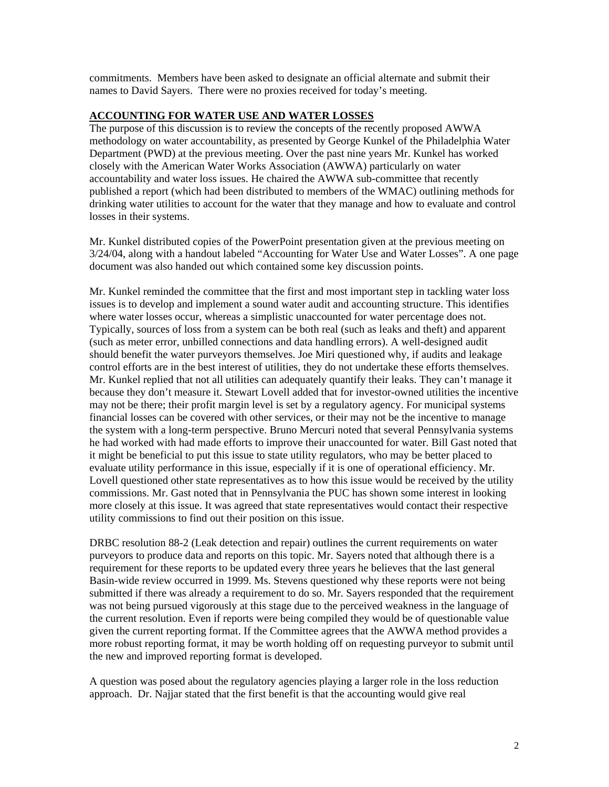commitments. Members have been asked to designate an official alternate and submit their names to David Sayers. There were no proxies received for today's meeting.

### **ACCOUNTING FOR WATER USE AND WATER LOSSES**

The purpose of this discussion is to review the concepts of the recently proposed AWWA methodology on water accountability, as presented by George Kunkel of the Philadelphia Water Department (PWD) at the previous meeting. Over the past nine years Mr. Kunkel has worked closely with the American Water Works Association (AWWA) particularly on water accountability and water loss issues. He chaired the AWWA sub-committee that recently published a report (which had been distributed to members of the WMAC) outlining methods for drinking water utilities to account for the water that they manage and how to evaluate and control losses in their systems.

Mr. Kunkel distributed copies of the PowerPoint presentation given at the previous meeting on 3/24/04, along with a handout labeled "Accounting for Water Use and Water Losses". A one page document was also handed out which contained some key discussion points.

Mr. Kunkel reminded the committee that the first and most important step in tackling water loss issues is to develop and implement a sound water audit and accounting structure. This identifies where water losses occur, whereas a simplistic unaccounted for water percentage does not. Typically, sources of loss from a system can be both real (such as leaks and theft) and apparent (such as meter error, unbilled connections and data handling errors). A well-designed audit should benefit the water purveyors themselves. Joe Miri questioned why, if audits and leakage control efforts are in the best interest of utilities, they do not undertake these efforts themselves. Mr. Kunkel replied that not all utilities can adequately quantify their leaks. They can't manage it because they don't measure it. Stewart Lovell added that for investor-owned utilities the incentive may not be there; their profit margin level is set by a regulatory agency. For municipal systems financial losses can be covered with other services, or their may not be the incentive to manage the system with a long-term perspective. Bruno Mercuri noted that several Pennsylvania systems he had worked with had made efforts to improve their unaccounted for water. Bill Gast noted that it might be beneficial to put this issue to state utility regulators, who may be better placed to evaluate utility performance in this issue, especially if it is one of operational efficiency. Mr. Lovell questioned other state representatives as to how this issue would be received by the utility commissions. Mr. Gast noted that in Pennsylvania the PUC has shown some interest in looking more closely at this issue. It was agreed that state representatives would contact their respective utility commissions to find out their position on this issue.

DRBC resolution 88-2 (Leak detection and repair) outlines the current requirements on water purveyors to produce data and reports on this topic. Mr. Sayers noted that although there is a requirement for these reports to be updated every three years he believes that the last general Basin-wide review occurred in 1999. Ms. Stevens questioned why these reports were not being submitted if there was already a requirement to do so. Mr. Sayers responded that the requirement was not being pursued vigorously at this stage due to the perceived weakness in the language of the current resolution. Even if reports were being compiled they would be of questionable value given the current reporting format. If the Committee agrees that the AWWA method provides a more robust reporting format, it may be worth holding off on requesting purveyor to submit until the new and improved reporting format is developed.

A question was posed about the regulatory agencies playing a larger role in the loss reduction approach. Dr. Najjar stated that the first benefit is that the accounting would give real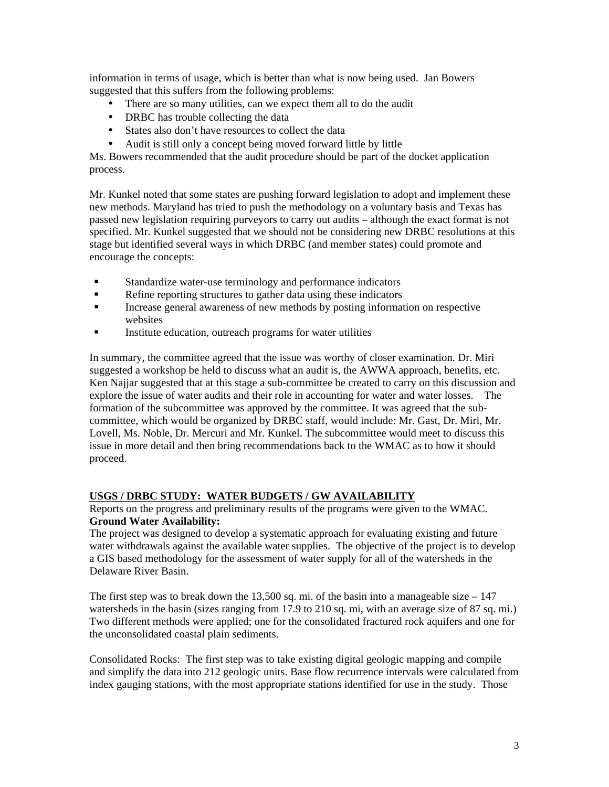information in terms of usage, which is better than what is now being used. Jan Bowers suggested that this suffers from the following problems:

- There are so many utilities, can we expect them all to do the audit
- DRBC has trouble collecting the data
- States also don't have resources to collect the data
- Audit is still only a concept being moved forward little by little

Ms. Bowers recommended that the audit procedure should be part of the docket application process.

Mr. Kunkel noted that some states are pushing forward legislation to adopt and implement these new methods. Maryland has tried to push the methodology on a voluntary basis and Texas has passed new legislation requiring purveyors to carry out audits – although the exact format is not specified. Mr. Kunkel suggested that we should not be considering new DRBC resolutions at this stage but identified several ways in which DRBC (and member states) could promote and encourage the concepts:

- ! Standardize water-use terminology and performance indicators
- Refine reporting structures to gather data using these indicators
- ! Increase general awareness of new methods by posting information on respective websites
- ! Institute education, outreach programs for water utilities

In summary, the committee agreed that the issue was worthy of closer examination. Dr. Miri suggested a workshop be held to discuss what an audit is, the AWWA approach, benefits, etc. Ken Najjar suggested that at this stage a sub-committee be created to carry on this discussion and explore the issue of water audits and their role in accounting for water and water losses. The formation of the subcommittee was approved by the committee. It was agreed that the subcommittee, which would be organized by DRBC staff, would include: Mr. Gast, Dr. Miri, Mr. Lovell, Ms. Noble, Dr. Mercuri and Mr. Kunkel. The subcommittee would meet to discuss this issue in more detail and then bring recommendations back to the WMAC as to how it should proceed.

# **USGS / DRBC STUDY: WATER BUDGETS / GW AVAILABILITY**

Reports on the progress and preliminary results of the programs were given to the WMAC. **Ground Water Availability:** 

The project was designed to develop a systematic approach for evaluating existing and future water withdrawals against the available water supplies. The objective of the project is to develop a GIS based methodology for the assessment of water supply for all of the watersheds in the Delaware River Basin.

The first step was to break down the 13,500 sq. mi. of the basin into a manageable size  $-147$ watersheds in the basin (sizes ranging from 17.9 to 210 sq. mi, with an average size of 87 sq. mi.) Two different methods were applied; one for the consolidated fractured rock aquifers and one for the unconsolidated coastal plain sediments.

Consolidated Rocks: The first step was to take existing digital geologic mapping and compile and simplify the data into 212 geologic units. Base flow recurrence intervals were calculated from index gauging stations, with the most appropriate stations identified for use in the study. Those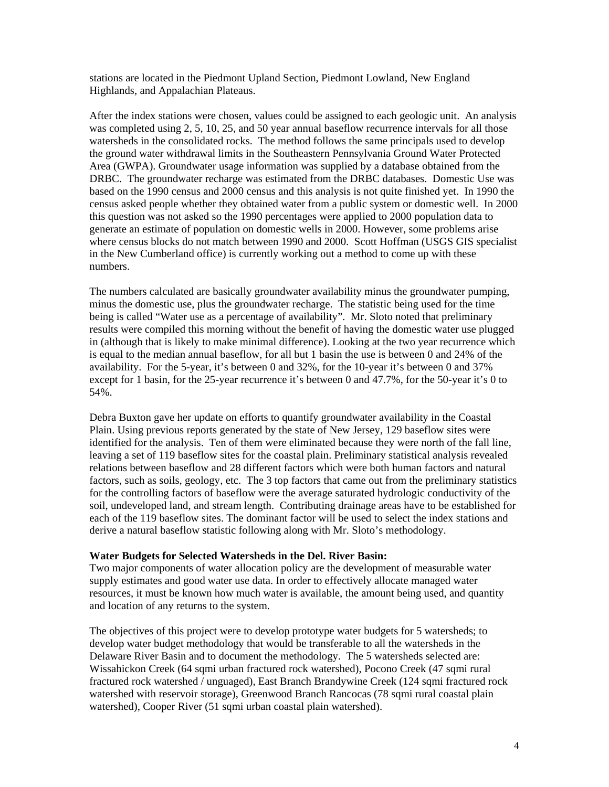stations are located in the Piedmont Upland Section, Piedmont Lowland, New England Highlands, and Appalachian Plateaus.

After the index stations were chosen, values could be assigned to each geologic unit. An analysis was completed using 2, 5, 10, 25, and 50 year annual baseflow recurrence intervals for all those watersheds in the consolidated rocks. The method follows the same principals used to develop the ground water withdrawal limits in the Southeastern Pennsylvania Ground Water Protected Area (GWPA). Groundwater usage information was supplied by a database obtained from the DRBC. The groundwater recharge was estimated from the DRBC databases. Domestic Use was based on the 1990 census and 2000 census and this analysis is not quite finished yet. In 1990 the census asked people whether they obtained water from a public system or domestic well. In 2000 this question was not asked so the 1990 percentages were applied to 2000 population data to generate an estimate of population on domestic wells in 2000. However, some problems arise where census blocks do not match between 1990 and 2000. Scott Hoffman (USGS GIS specialist in the New Cumberland office) is currently working out a method to come up with these numbers.

The numbers calculated are basically groundwater availability minus the groundwater pumping, minus the domestic use, plus the groundwater recharge. The statistic being used for the time being is called "Water use as a percentage of availability". Mr. Sloto noted that preliminary results were compiled this morning without the benefit of having the domestic water use plugged in (although that is likely to make minimal difference). Looking at the two year recurrence which is equal to the median annual baseflow, for all but 1 basin the use is between 0 and 24% of the availability. For the 5-year, it's between 0 and 32%, for the 10-year it's between 0 and 37% except for 1 basin, for the 25-year recurrence it's between 0 and 47.7%, for the 50-year it's 0 to 54%.

Debra Buxton gave her update on efforts to quantify groundwater availability in the Coastal Plain. Using previous reports generated by the state of New Jersey, 129 baseflow sites were identified for the analysis. Ten of them were eliminated because they were north of the fall line, leaving a set of 119 baseflow sites for the coastal plain. Preliminary statistical analysis revealed relations between baseflow and 28 different factors which were both human factors and natural factors, such as soils, geology, etc. The 3 top factors that came out from the preliminary statistics for the controlling factors of baseflow were the average saturated hydrologic conductivity of the soil, undeveloped land, and stream length. Contributing drainage areas have to be established for each of the 119 baseflow sites. The dominant factor will be used to select the index stations and derive a natural baseflow statistic following along with Mr. Sloto's methodology.

#### **Water Budgets for Selected Watersheds in the Del. River Basin:**

Two major components of water allocation policy are the development of measurable water supply estimates and good water use data. In order to effectively allocate managed water resources, it must be known how much water is available, the amount being used, and quantity and location of any returns to the system.

The objectives of this project were to develop prototype water budgets for 5 watersheds; to develop water budget methodology that would be transferable to all the watersheds in the Delaware River Basin and to document the methodology. The 5 watersheds selected are: Wissahickon Creek (64 sqmi urban fractured rock watershed), Pocono Creek (47 sqmi rural fractured rock watershed / unguaged), East Branch Brandywine Creek (124 sqmi fractured rock watershed with reservoir storage), Greenwood Branch Rancocas (78 sqmi rural coastal plain watershed), Cooper River (51 sqmi urban coastal plain watershed).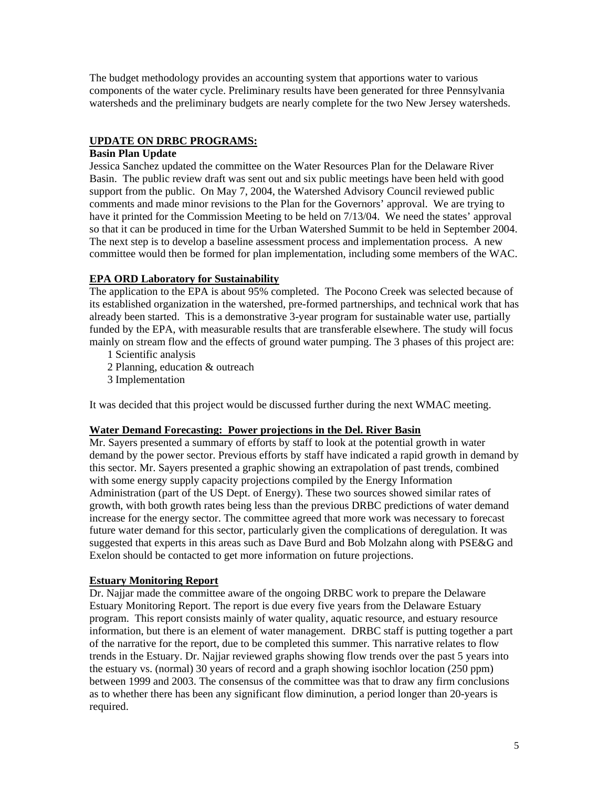The budget methodology provides an accounting system that apportions water to various components of the water cycle. Preliminary results have been generated for three Pennsylvania watersheds and the preliminary budgets are nearly complete for the two New Jersey watersheds.

# **UPDATE ON DRBC PROGRAMS:**

## **Basin Plan Update**

Jessica Sanchez updated the committee on the Water Resources Plan for the Delaware River Basin. The public review draft was sent out and six public meetings have been held with good support from the public. On May 7, 2004, the Watershed Advisory Council reviewed public comments and made minor revisions to the Plan for the Governors' approval. We are trying to have it printed for the Commission Meeting to be held on 7/13/04. We need the states' approval so that it can be produced in time for the Urban Watershed Summit to be held in September 2004. The next step is to develop a baseline assessment process and implementation process. A new committee would then be formed for plan implementation, including some members of the WAC.

# **EPA ORD Laboratory for Sustainability**

The application to the EPA is about 95% completed. The Pocono Creek was selected because of its established organization in the watershed, pre-formed partnerships, and technical work that has already been started. This is a demonstrative 3-year program for sustainable water use, partially funded by the EPA, with measurable results that are transferable elsewhere. The study will focus mainly on stream flow and the effects of ground water pumping. The 3 phases of this project are:

- 1 Scientific analysis
- 2 Planning, education & outreach
- 3 Implementation

It was decided that this project would be discussed further during the next WMAC meeting.

## **Water Demand Forecasting: Power projections in the Del. River Basin**

Mr. Sayers presented a summary of efforts by staff to look at the potential growth in water demand by the power sector. Previous efforts by staff have indicated a rapid growth in demand by this sector. Mr. Sayers presented a graphic showing an extrapolation of past trends, combined with some energy supply capacity projections compiled by the Energy Information Administration (part of the US Dept. of Energy). These two sources showed similar rates of growth, with both growth rates being less than the previous DRBC predictions of water demand increase for the energy sector. The committee agreed that more work was necessary to forecast future water demand for this sector, particularly given the complications of deregulation. It was suggested that experts in this areas such as Dave Burd and Bob Molzahn along with PSE&G and Exelon should be contacted to get more information on future projections.

## **Estuary Monitoring Report**

Dr. Najjar made the committee aware of the ongoing DRBC work to prepare the Delaware Estuary Monitoring Report. The report is due every five years from the Delaware Estuary program. This report consists mainly of water quality, aquatic resource, and estuary resource information, but there is an element of water management. DRBC staff is putting together a part of the narrative for the report, due to be completed this summer. This narrative relates to flow trends in the Estuary. Dr. Najjar reviewed graphs showing flow trends over the past 5 years into the estuary vs. (normal) 30 years of record and a graph showing isochlor location (250 ppm) between 1999 and 2003. The consensus of the committee was that to draw any firm conclusions as to whether there has been any significant flow diminution, a period longer than 20-years is required.